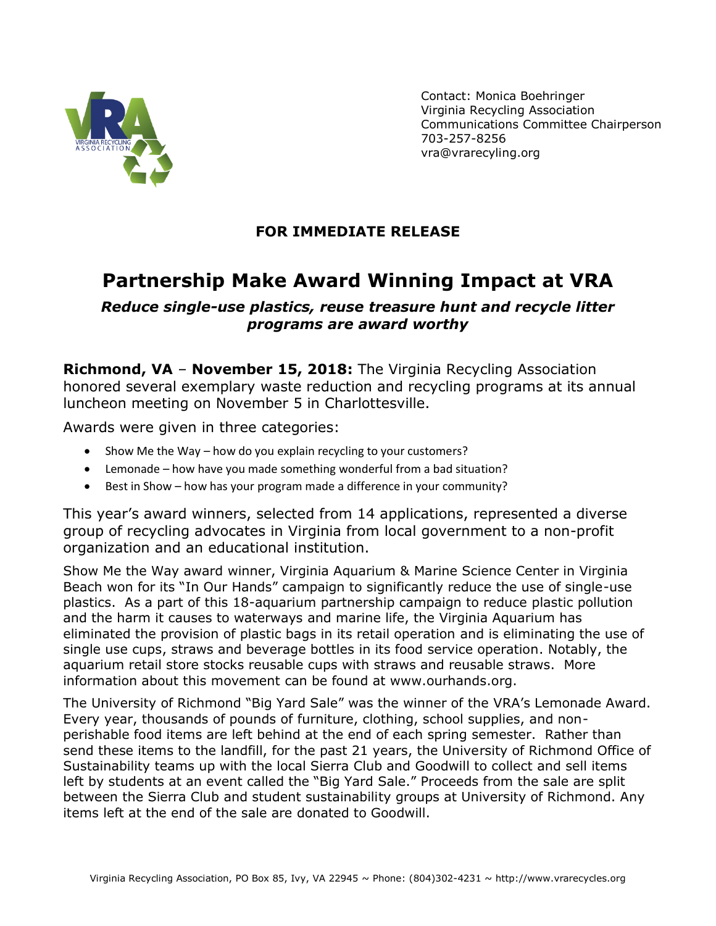

Contact: Monica Boehringer Virginia Recycling Association Communications Committee Chairperson 703-257-8256 [vra@vrarecyling.org](mailto:mboehringer@ci.manassas.va.us)

## **FOR IMMEDIATE RELEASE**

## **Partnership Make Award Winning Impact at VRA**

*Reduce single-use plastics, reuse treasure hunt and recycle litter programs are award worthy*

**Richmond, VA** – **November 15, 2018:** The Virginia Recycling Association honored several exemplary waste reduction and recycling programs at its annual luncheon meeting on November 5 in Charlottesville.

Awards were given in three categories:

- Show Me the Way how do you explain recycling to your customers?
- Lemonade how have you made something wonderful from a bad situation?
- Best in Show how has your program made a difference in your community?

This year's award winners, selected from 14 applications, represented a diverse group of recycling advocates in Virginia from local government to a non-profit organization and an educational institution.

Show Me the Way award winner, Virginia Aquarium & Marine Science Center in Virginia Beach won for its "In Our Hands" campaign to significantly reduce the use of single-use plastics. As a part of this 18-aquarium partnership campaign to reduce plastic pollution and the harm it causes to waterways and marine life, the Virginia Aquarium has eliminated the provision of plastic bags in its retail operation and is eliminating the use of single use cups, straws and beverage bottles in its food service operation. Notably, the aquarium retail store stocks reusable cups with straws and reusable straws. More information about this movement can be found at www.ourhands.org.

The University of Richmond "Big Yard Sale" was the winner of the VRA's Lemonade Award. Every year, thousands of pounds of furniture, clothing, school supplies, and nonperishable food items are left behind at the end of each spring semester. Rather than send these items to the landfill, for the past 21 years, the University of Richmond Office of Sustainability teams up with the local Sierra Club and Goodwill to collect and sell items left by students at an event called the "Big Yard Sale." Proceeds from the sale are split between the Sierra Club and student sustainability groups at University of Richmond. Any items left at the end of the sale are donated to Goodwill.